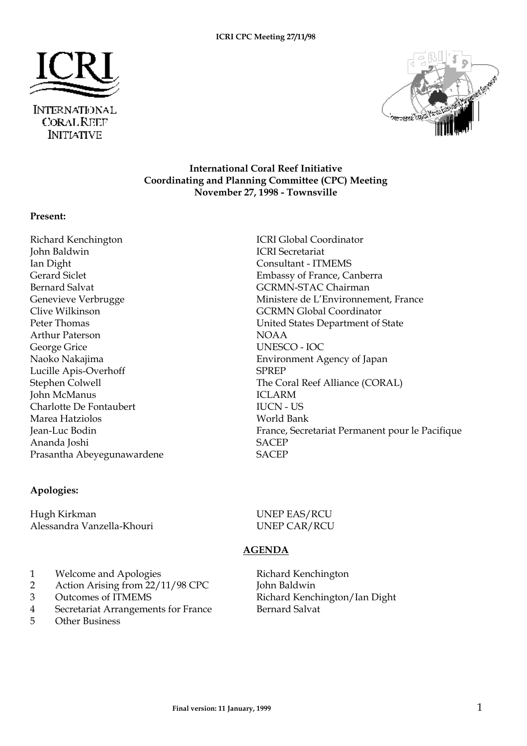



#### **International Coral Reef Initiative Coordinating and Planning Committee (CPC) Meeting November 27, 1998 - Townsville**

#### **Present:**

Richard Kenchington **ICRI Global Coordinator** John Baldwin ICRI Secretariat Ian Dight Consultant - ITMEMS Gerard Siclet Embassy of France, Canberra Bernard Salvat GCRMN-STAC Chairman Clive Wilkinson GCRMN Global Coordinator Arthur Paterson NOAA George Grice UNESCO - IOC Lucille Apis-Overhoff SPREP John McManus ICLARM Charlotte De Fontaubert IUCN - US Marea Hatziolos **World Bank** Ananda Joshi SACEP Prasantha Abeyegunawardene SACEP

#### **Apologies:**

Hugh Kirkman UNEP EAS/RCU Alessandra Vanzella-Khouri UNEP CAR/RCU

Genevieve Verbrugge The Ministere de L'Environnement, France Peter Thomas United States Department of State Naoko Nakajima Environment Agency of Japan Stephen Colwell The Coral Reef Alliance (CORAL) Jean-Luc Bodin France, Secretariat Permanent pour le Pacifique

## **AGENDA**

- 1 Welcome and Apologies Richard Kenchington
- 2 Action Arising from 22/11/98 CPC John Baldwin
- 
- 4 Secretariat Arrangements for France Bernard Salvat
- 5 Other Business

3 Outcomes of ITMEMS Richard Kenchington/Ian Dight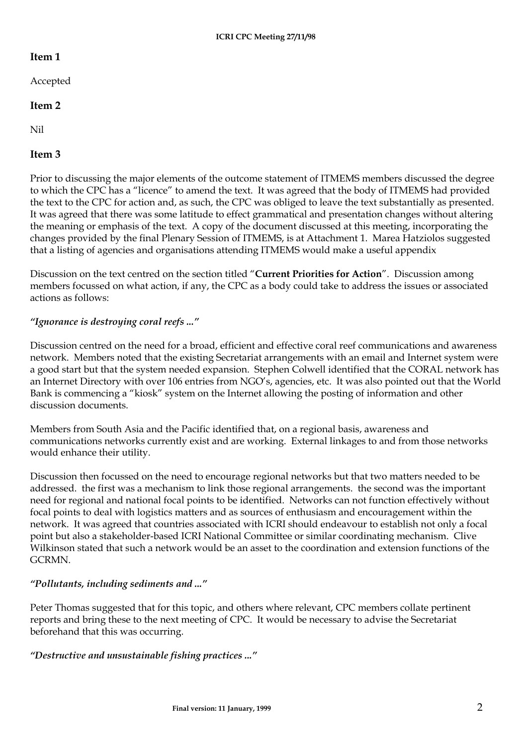#### **Item 1**

Accepted

#### **Item 2**

Nil

## **Item 3**

Prior to discussing the major elements of the outcome statement of ITMEMS members discussed the degree to which the CPC has a "licence" to amend the text. It was agreed that the body of ITMEMS had provided the text to the CPC for action and, as such, the CPC was obliged to leave the text substantially as presented. It was agreed that there was some latitude to effect grammatical and presentation changes without altering the meaning or emphasis of the text. A copy of the document discussed at this meeting, incorporating the changes provided by the final Plenary Session of ITMEMS, is at Attachment 1. Marea Hatziolos suggested that a listing of agencies and organisations attending ITMEMS would make a useful appendix

Discussion on the text centred on the section titled "**Current Priorities for Action**". Discussion among members focussed on what action, if any, the CPC as a body could take to address the issues or associated actions as follows:

## *"Ignorance is destroying coral reefs ..."*

Discussion centred on the need for a broad, efficient and effective coral reef communications and awareness network. Members noted that the existing Secretariat arrangements with an email and Internet system were a good start but that the system needed expansion. Stephen Colwell identified that the CORAL network has an Internet Directory with over 106 entries from NGO's, agencies, etc. It was also pointed out that the World Bank is commencing a "kiosk" system on the Internet allowing the posting of information and other discussion documents.

Members from South Asia and the Pacific identified that, on a regional basis, awareness and communications networks currently exist and are working. External linkages to and from those networks would enhance their utility.

Discussion then focussed on the need to encourage regional networks but that two matters needed to be addressed. the first was a mechanism to link those regional arrangements. the second was the important need for regional and national focal points to be identified. Networks can not function effectively without focal points to deal with logistics matters and as sources of enthusiasm and encouragement within the network. It was agreed that countries associated with ICRI should endeavour to establish not only a focal point but also a stakeholder-based ICRI National Committee or similar coordinating mechanism. Clive Wilkinson stated that such a network would be an asset to the coordination and extension functions of the GCRMN.

#### *"Pollutants, including sediments and ..."*

Peter Thomas suggested that for this topic, and others where relevant, CPC members collate pertinent reports and bring these to the next meeting of CPC. It would be necessary to advise the Secretariat beforehand that this was occurring.

#### *"Destructive and unsustainable fishing practices ..."*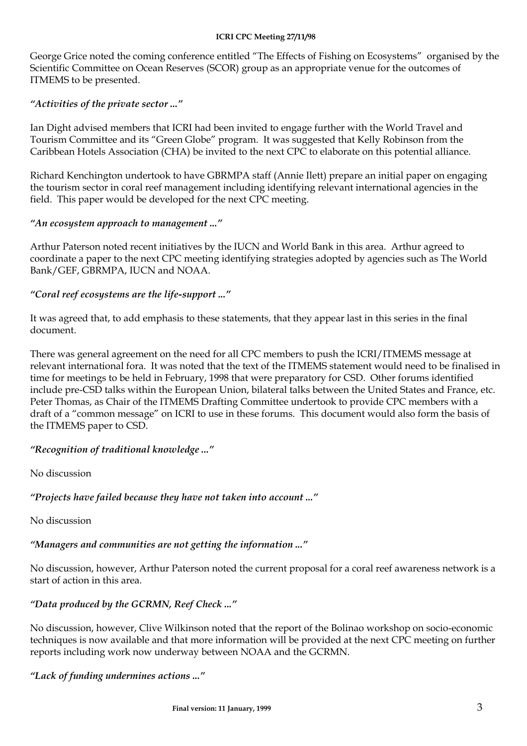#### **ICRI CPC Meeting 27/11/98**

George Grice noted the coming conference entitled "The Effects of Fishing on Ecosystems" organised by the Scientific Committee on Ocean Reserves (SCOR) group as an appropriate venue for the outcomes of ITMEMS to be presented.

#### *"Activities of the private sector ..."*

Ian Dight advised members that ICRI had been invited to engage further with the World Travel and Tourism Committee and its "Green Globe" program. It was suggested that Kelly Robinson from the Caribbean Hotels Association (CHA) be invited to the next CPC to elaborate on this potential alliance.

Richard Kenchington undertook to have GBRMPA staff (Annie Ilett) prepare an initial paper on engaging the tourism sector in coral reef management including identifying relevant international agencies in the field. This paper would be developed for the next CPC meeting.

#### *"An ecosystem approach to management ..."*

Arthur Paterson noted recent initiatives by the IUCN and World Bank in this area. Arthur agreed to coordinate a paper to the next CPC meeting identifying strategies adopted by agencies such as The World Bank/GEF, GBRMPA, IUCN and NOAA.

#### *"Coral reef ecosystems are the life-support ..."*

It was agreed that, to add emphasis to these statements, that they appear last in this series in the final document.

There was general agreement on the need for all CPC members to push the ICRI/ITMEMS message at relevant international fora. It was noted that the text of the ITMEMS statement would need to be finalised in time for meetings to be held in February, 1998 that were preparatory for CSD. Other forums identified include pre-CSD talks within the European Union, bilateral talks between the United States and France, etc. Peter Thomas, as Chair of the ITMEMS Drafting Committee undertook to provide CPC members with a draft of a "common message" on ICRI to use in these forums. This document would also form the basis of the ITMEMS paper to CSD.

## *"Recognition of traditional knowledge ..."*

No discussion

*"Projects have failed because they have not taken into account ..."*

No discussion

# *"Managers and communities are not getting the information ..."*

No discussion, however, Arthur Paterson noted the current proposal for a coral reef awareness network is a start of action in this area.

# *"Data produced by the GCRMN, Reef Check ..."*

No discussion, however, Clive Wilkinson noted that the report of the Bolinao workshop on socio-economic techniques is now available and that more information will be provided at the next CPC meeting on further reports including work now underway between NOAA and the GCRMN.

*"Lack of funding undermines actions ..."*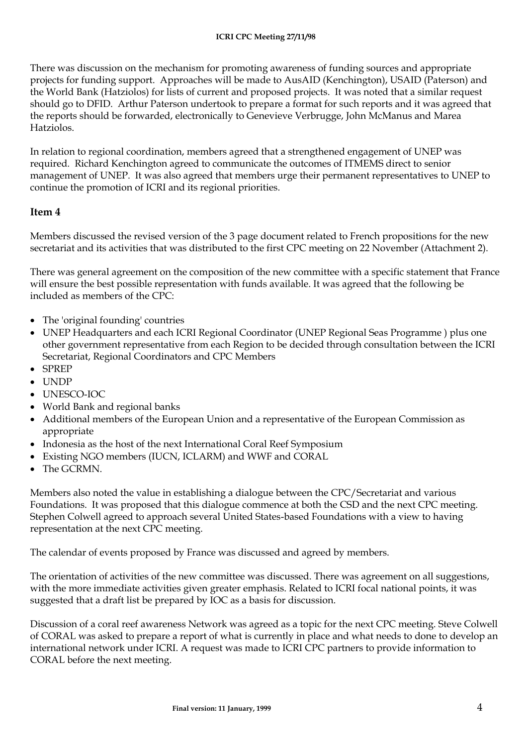#### **ICRI CPC Meeting 27/11/98**

There was discussion on the mechanism for promoting awareness of funding sources and appropriate projects for funding support. Approaches will be made to AusAID (Kenchington), USAID (Paterson) and the World Bank (Hatziolos) for lists of current and proposed projects. It was noted that a similar request should go to DFID. Arthur Paterson undertook to prepare a format for such reports and it was agreed that the reports should be forwarded, electronically to Genevieve Verbrugge, John McManus and Marea Hatziolos.

In relation to regional coordination, members agreed that a strengthened engagement of UNEP was required. Richard Kenchington agreed to communicate the outcomes of ITMEMS direct to senior management of UNEP. It was also agreed that members urge their permanent representatives to UNEP to continue the promotion of ICRI and its regional priorities.

#### **Item 4**

Members discussed the revised version of the 3 page document related to French propositions for the new secretariat and its activities that was distributed to the first CPC meeting on 22 November (Attachment 2).

There was general agreement on the composition of the new committee with a specific statement that France will ensure the best possible representation with funds available. It was agreed that the following be included as members of the CPC:

- The 'original founding' countries
- UNEP Headquarters and each ICRI Regional Coordinator (UNEP Regional Seas Programme ) plus one other government representative from each Region to be decided through consultation between the ICRI Secretariat, Regional Coordinators and CPC Members
- SPREP
- **UNDP**
- UNESCO-IOC
- World Bank and regional banks
- Additional members of the European Union and a representative of the European Commission as appropriate
- Indonesia as the host of the next International Coral Reef Symposium
- Existing NGO members (IUCN, ICLARM) and WWF and CORAL
- The GCRMN.

Members also noted the value in establishing a dialogue between the CPC/Secretariat and various Foundations. It was proposed that this dialogue commence at both the CSD and the next CPC meeting. Stephen Colwell agreed to approach several United States-based Foundations with a view to having representation at the next CPC meeting.

The calendar of events proposed by France was discussed and agreed by members.

The orientation of activities of the new committee was discussed. There was agreement on all suggestions, with the more immediate activities given greater emphasis. Related to ICRI focal national points, it was suggested that a draft list be prepared by IOC as a basis for discussion.

Discussion of a coral reef awareness Network was agreed as a topic for the next CPC meeting. Steve Colwell of CORAL was asked to prepare a report of what is currently in place and what needs to done to develop an international network under ICRI. A request was made to ICRI CPC partners to provide information to CORAL before the next meeting.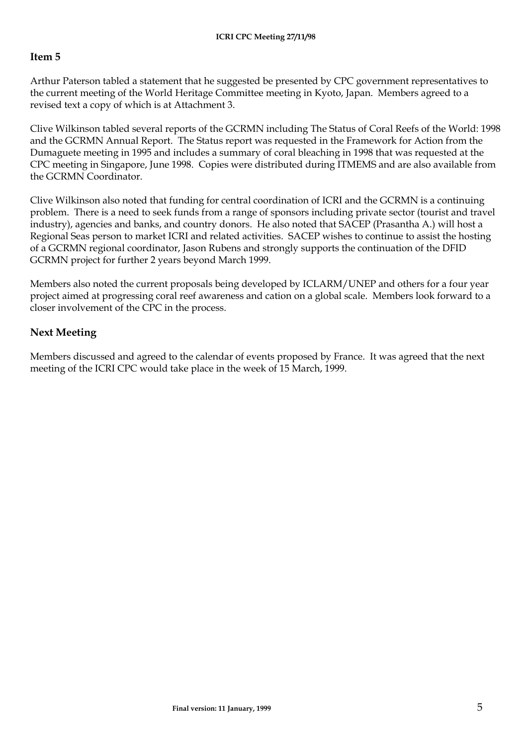#### **Item 5**

Arthur Paterson tabled a statement that he suggested be presented by CPC government representatives to the current meeting of the World Heritage Committee meeting in Kyoto, Japan. Members agreed to a revised text a copy of which is at Attachment 3.

Clive Wilkinson tabled several reports of the GCRMN including The Status of Coral Reefs of the World: 1998 and the GCRMN Annual Report. The Status report was requested in the Framework for Action from the Dumaguete meeting in 1995 and includes a summary of coral bleaching in 1998 that was requested at the CPC meeting in Singapore, June 1998. Copies were distributed during ITMEMS and are also available from the GCRMN Coordinator.

Clive Wilkinson also noted that funding for central coordination of ICRI and the GCRMN is a continuing problem. There is a need to seek funds from a range of sponsors including private sector (tourist and travel industry), agencies and banks, and country donors. He also noted that SACEP (Prasantha A.) will host a Regional Seas person to market ICRI and related activities. SACEP wishes to continue to assist the hosting of a GCRMN regional coordinator, Jason Rubens and strongly supports the continuation of the DFID GCRMN project for further 2 years beyond March 1999.

Members also noted the current proposals being developed by ICLARM/UNEP and others for a four year project aimed at progressing coral reef awareness and cation on a global scale. Members look forward to a closer involvement of the CPC in the process.

## **Next Meeting**

Members discussed and agreed to the calendar of events proposed by France. It was agreed that the next meeting of the ICRI CPC would take place in the week of 15 March, 1999.